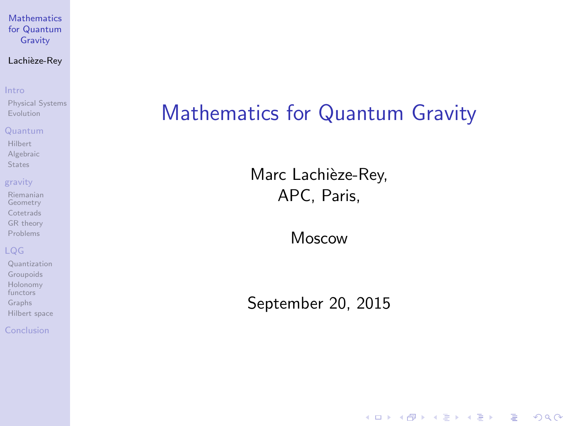#### Lachièze-Rey

#### [Intro](#page-2-0)

[Physical Systems](#page-3-0) [Evolution](#page-5-0)

#### [Quantum](#page-7-0)

[Hilbert](#page-8-0) [Algebraic](#page-9-0) **[States](#page-10-0)** 

#### [gravity](#page-12-0)

[Riemanian](#page-13-0) Geometry **[Cotetrads](#page-14-0)** [GR theory](#page-15-0) [Problems](#page-16-0)

### [LQG](#page-17-0)

[Quantization](#page-20-0) [Groupoids](#page-24-0) [Holonomy](#page-25-0) functors [Graphs](#page-26-0) [Hilbert space](#page-28-0)

<span id="page-0-0"></span>[Conclusion](#page-29-0)

## Mathematics for Quantum Gravity

Marc Lachièze-Rey, APC, Paris,

Moscow

September 20, 2015

**KORK STRATER STRAKER**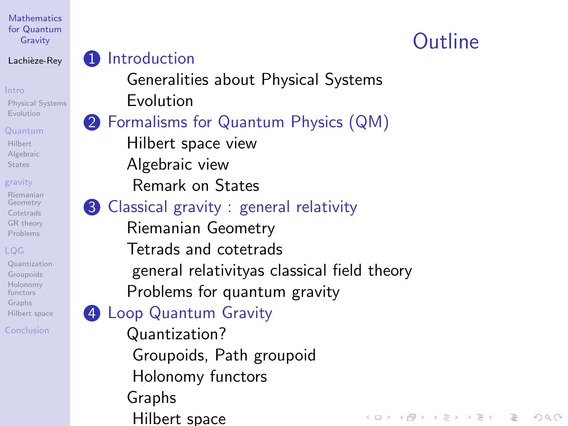### Lachièze-Rey

[Physical Systems](#page-3-0) [Evolution](#page-5-0)

### [Quantum](#page-7-0)

[Hilbert](#page-8-0) [Algebraic](#page-9-0) **[States](#page-10-0)** 

#### [gravity](#page-12-0)

[Riemanian](#page-13-0) Geometry **[Cotetrads](#page-14-0)** [GR theory](#page-15-0) [Problems](#page-16-0)

[Quantization](#page-20-0) [Groupoids](#page-24-0) [Holonomy](#page-25-0) functors [Graphs](#page-26-0) [Hilbert space](#page-28-0)

[Conclusion](#page-29-0)

## **1** [Introduction](#page-2-0)

[Generalities about Physical Systems](#page-3-0) [Evolution](#page-5-0)

## 2 [Formalisms for Quantum Physics \(QM\)](#page-7-0)

[Hilbert space view](#page-8-0) [Algebraic view](#page-9-0)

[Remark on States](#page-10-0)

## **3** [Classical gravity : general relativity](#page-12-0)

[Riemanian Geometry](#page-13-0) [Tetrads and cotetrads](#page-14-0) [general relativityas classical field theory](#page-15-0) [Problems for quantum gravity](#page-16-0)

## **4 [Loop Quantum Gravity](#page-17-0)**

[Quantization?](#page-20-0) [Groupoids, Path groupoid](#page-24-0) [Holonomy functors](#page-25-0) [Graphs](#page-26-0) [Hilbert space](#page-28-0)

# **Outline**

**KORK ERRY ABY CHANNEL**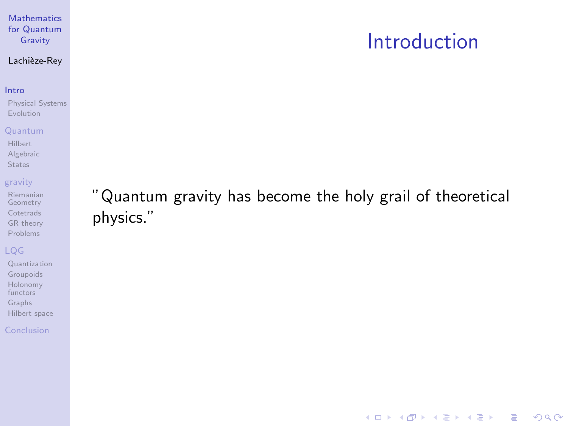## Introduction

K ロ ▶ K @ ▶ K 할 > K 할 > 1 할 > 1 이익어

## Lachièze-Rey

#### [Intro](#page-2-0)

[Physical Systems](#page-3-0) [Evolution](#page-5-0)

#### [Quantum](#page-7-0)

[Hilbert](#page-8-0) [Algebraic](#page-9-0) [States](#page-10-0)

#### [gravity](#page-12-0)

[Riemanian](#page-13-0) Geometry [Cotetrads](#page-14-0) [GR theory](#page-15-0) [Problems](#page-16-0)

### [LQG](#page-17-0)

[Quantization](#page-20-0) [Groupoids](#page-24-0) [Holonomy](#page-25-0) functors [Graphs](#page-26-0) [Hilbert space](#page-28-0)

#### <span id="page-2-0"></span>[Conclusion](#page-29-0)

"Quantum gravity has become the holy grail of theoretical physics."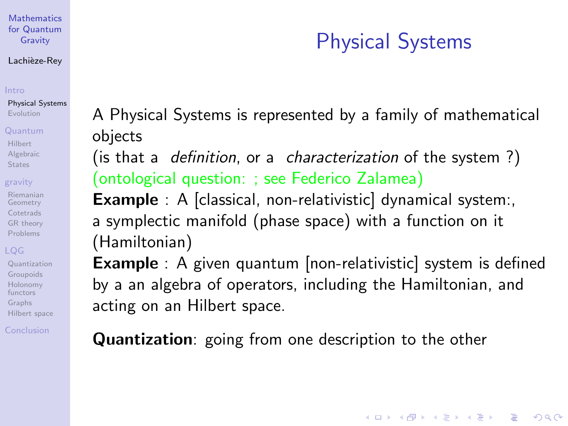#### Lachièze-Rey

#### [Intro](#page-2-0)

[Physical Systems](#page-3-0) [Evolution](#page-5-0)

#### [Quantum](#page-7-0)

[Hilbert](#page-8-0) [Algebraic](#page-9-0) **[States](#page-10-0)** 

#### [gravity](#page-12-0)

[Riemanian](#page-13-0) Geometry **[Cotetrads](#page-14-0)** [GR theory](#page-15-0) [Problems](#page-16-0)

[Quantization](#page-20-0) [Groupoids](#page-24-0) [Holonomy](#page-25-0) functors [Graphs](#page-26-0) [Hilbert space](#page-28-0)

<span id="page-3-0"></span>[Conclusion](#page-29-0)

# Physical Systems

**KORK ERKER ADE YOUR** 

A Physical Systems is represented by a family of mathematical objects

(is that a *definition*, or a *characterization* of the system?) (ontological question: ; see Federico Zalamea)

**Example** : A [classical, non-relativistic] dynamical system:, a symplectic manifold (phase space) with a function on it (Hamiltonian)

**Example** : A given quantum [non-relativistic] system is defined by a an algebra of operators, including the Hamiltonian, and acting on an Hilbert space.

Quantization: going from one description to the other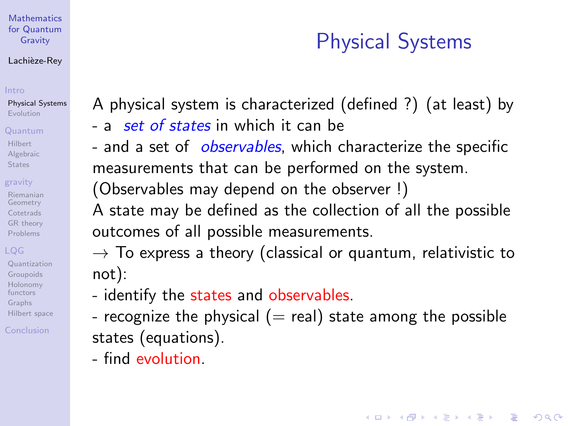#### Lachièze-Rey

[Physical Systems](#page-3-0) [Evolution](#page-5-0)

#### [Quantum](#page-7-0)

[Hilbert](#page-8-0) [Algebraic](#page-9-0) **[States](#page-10-0)** 

#### [gravity](#page-12-0)

[Riemanian](#page-13-0) Geometry **[Cotetrads](#page-14-0)** [GR theory](#page-15-0) [Problems](#page-16-0)

[Quantization](#page-20-0) [Groupoids](#page-24-0) [Holonomy](#page-25-0) functors [Graphs](#page-26-0) [Hilbert space](#page-28-0)

[Conclusion](#page-29-0)

# Physical Systems

**KORK ERKER ADE YOUR** 

A physical system is characterized (defined ?) (at least) by

- a set of states in which it can be
- and a set of *observables*, which characterize the specific measurements that can be performed on the system. (Observables may depend on the observer !)

A state may be defined as the collection of all the possible outcomes of all possible measurements.

 $\rightarrow$  To express a theory (classical or quantum, relativistic to not):

- identify the states and observables.
- recognize the physical  $(=$  real) state among the possible states (equations).
	- find evolution.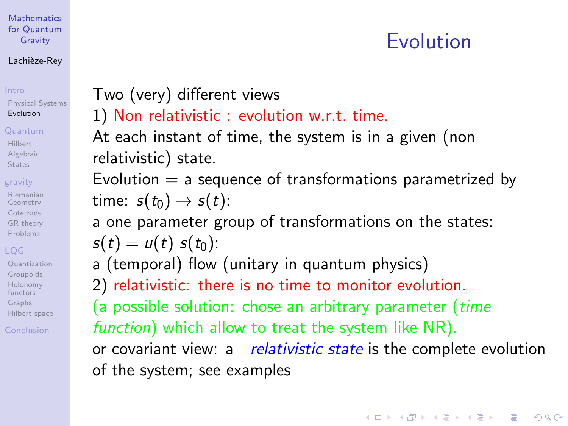#### Lachièze-Rey

## [Intro](#page-2-0)

[Physical Systems](#page-3-0) [Evolution](#page-5-0)

### [Quantum](#page-7-0)

[Hilbert](#page-8-0) [Algebraic](#page-9-0) **[States](#page-10-0)** 

## [gravity](#page-12-0)

[Riemanian](#page-13-0) Geometry **[Cotetrads](#page-14-0)** [GR theory](#page-15-0) [Problems](#page-16-0)

[Quantization](#page-20-0) [Groupoids](#page-24-0) [Holonomy](#page-25-0) functors [Graphs](#page-26-0) [Hilbert space](#page-28-0)

<span id="page-5-0"></span>[Conclusion](#page-29-0)

## Two (very) different views

## 1) Non relativistic : evolution w.r.t. time.

At each instant of time, the system is in a given (non relativistic) state.

Evolution  $=$  a sequence of transformations parametrized by time:  $s(t_0) \rightarrow s(t)$ :

a one parameter group of transformations on the states:

$$
s(t) = u(t) s(t_0)
$$

a (temporal) flow (unitary in quantum physics)

2) relativistic: there is no time to monitor evolution.

(a possible solution: chose an arbitrary parameter (*time* function) which allow to treat the system like NR).

or covariant view: a relativistic state is the complete evolution of the system; see examples

Evolution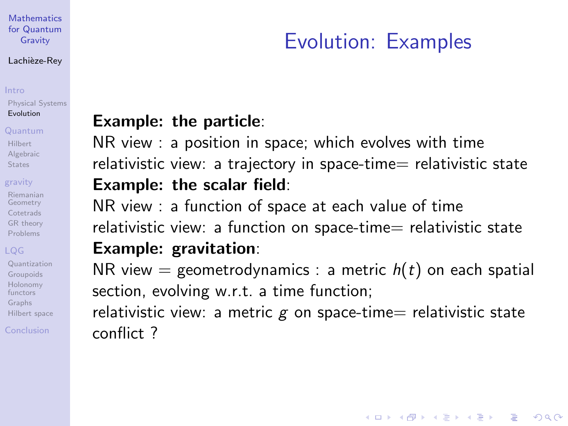#### Lachièze-Rey

[Physical Systems](#page-3-0) [Evolution](#page-5-0)

#### [Quantum](#page-7-0)

[Hilbert](#page-8-0) [Algebraic](#page-9-0) **[States](#page-10-0)** 

#### [gravity](#page-12-0)

[Riemanian](#page-13-0) Geometry **[Cotetrads](#page-14-0)** [GR theory](#page-15-0) [Problems](#page-16-0)

[Quantization](#page-20-0) [Groupoids](#page-24-0) [Holonomy](#page-25-0) functors [Graphs](#page-26-0) [Hilbert space](#page-28-0)

[Conclusion](#page-29-0)

# Evolution: Examples

**KORK SERVER SHOPE** 

## Example: the particle:

NR view : a position in space; which evolves with time relativistic view: a trajectory in space-time= relativistic state Example: the scalar field:

NR view : a function of space at each value of time relativistic view: a function on space-time= relativistic state Example: gravitation:

NR view = geometrodynamics : a metric  $h(t)$  on each spatial section, evolving w.r.t. a time function;

relativistic view: a metric  $g$  on space-time= relativistic state conflict ?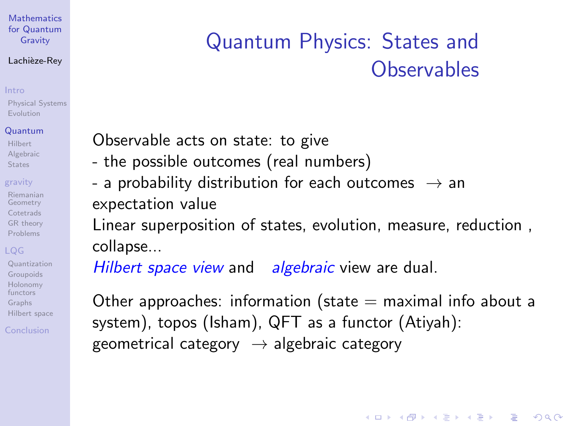#### Lachièze-Rey

[Physical Systems](#page-3-0) [Evolution](#page-5-0)

#### [Quantum](#page-7-0)

[Hilbert](#page-8-0) [Algebraic](#page-9-0) **[States](#page-10-0)** 

### [gravity](#page-12-0)

[Riemanian](#page-13-0) Geometry **[Cotetrads](#page-14-0)** [GR theory](#page-15-0) [Problems](#page-16-0)

[Quantization](#page-20-0) [Groupoids](#page-24-0) [Holonomy](#page-25-0) functors [Graphs](#page-26-0) [Hilbert space](#page-28-0)

<span id="page-7-0"></span>[Conclusion](#page-29-0)

# Quantum Physics: States and **Observables**

Observable acts on state: to give

- the possible outcomes (real numbers)
- a probability distribution for each outcomes  $\rightarrow$  an expectation value

Linear superposition of states, evolution, measure, reduction , collapse...

Hilbert space view and algebraic view are dual.

Other approaches: information (state  $=$  maximal info about a system), topos (Isham), QFT as a functor (Atiyah): geometrical category  $\rightarrow$  algebraic category

**KORK ERKER ADE YOUR**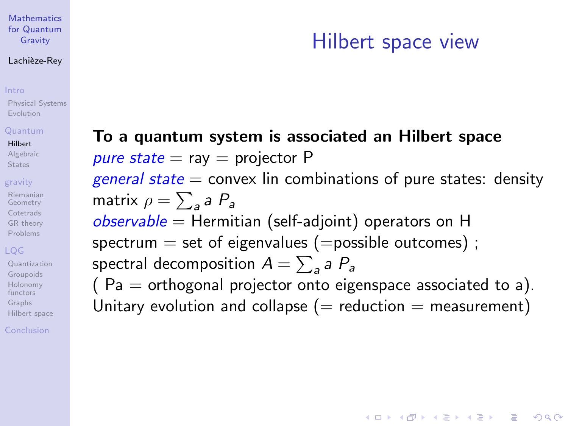#### Lachièze-Rey

#### [Intro](#page-2-0)

[Physical Systems](#page-3-0) [Evolution](#page-5-0)

#### [Quantum](#page-7-0)

#### [Hilbert](#page-8-0)

[Algebraic](#page-9-0) **[States](#page-10-0)** 

#### [gravity](#page-12-0)

[Riemanian](#page-13-0) Geometry **[Cotetrads](#page-14-0)** [GR theory](#page-15-0) [Problems](#page-16-0)

### [LQG](#page-17-0)

[Quantization](#page-20-0) [Groupoids](#page-24-0) [Holonomy](#page-25-0) functors [Graphs](#page-26-0) [Hilbert space](#page-28-0)

<span id="page-8-0"></span>[Conclusion](#page-29-0)

## To a quantum system is associated an Hilbert space pure state  $=$  ray  $=$  projector P general state  $=$  convex lin combinations of pure states: density matrix  $\rho = \sum_{\mathsf{a}} \mathsf{a}\; P_{\mathsf{a}}$  $observable = Hermitian (self-adjoint) operators on H$ spectrum  $=$  set of eigenvalues ( $=$ possible outcomes); spectral decomposition  $A=\sum_{\mathsf{a}}\mathsf{a}\; P_{\mathsf{a}}$ ( $Pa =$  orthogonal projector onto eigenspace associated to a).

Unitary evolution and collapse ( $=$  reduction  $=$  measurement)

# Hilbert space view

**KORK ERKER ADE YOUR**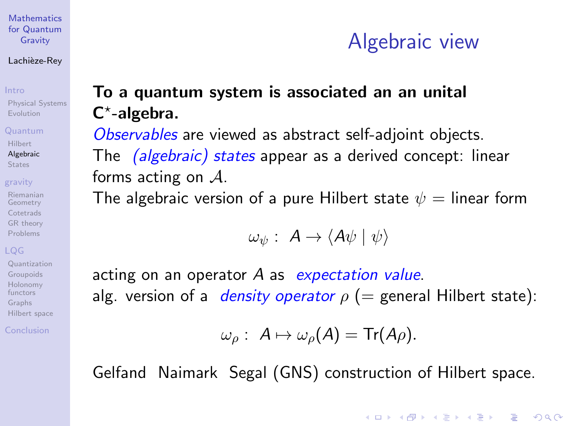#### Lachièze-Rey

[Physical Systems](#page-3-0) [Evolution](#page-5-0)

#### [Quantum](#page-7-0)

[Hilbert](#page-8-0) [Algebraic](#page-9-0) **[States](#page-10-0)** 

#### [gravity](#page-12-0)

[Riemanian](#page-13-0) Geometry **[Cotetrads](#page-14-0)** [GR theory](#page-15-0) [Problems](#page-16-0)

[Quantization](#page-20-0) [Groupoids](#page-24-0) [Holonomy](#page-25-0) functors [Graphs](#page-26-0) [Hilbert space](#page-28-0)

<span id="page-9-0"></span>[Conclusion](#page-29-0)

# Algebraic view

**KORK ERKER ADE YOUR** 

## To a quantum system is associated an an unital C\*-algebra.

Observables are viewed as abstract self-adjoint objects. The *(algebraic) states* appear as a derived concept: linear forms acting on  $A$ .

The algebraic version of a pure Hilbert state  $\psi =$  linear form

$$
\omega_{\psi} : A \to \langle A\psi | \psi \rangle
$$

acting on an operator  $A$  as expectation value. alg. version of a *density operator*  $\rho$  (= general Hilbert state):

$$
\omega_{\rho}: A \mapsto \omega_{\rho}(A) = \text{Tr}(A\rho).
$$

Gelfand Naimark Segal (GNS) construction of Hilbert space.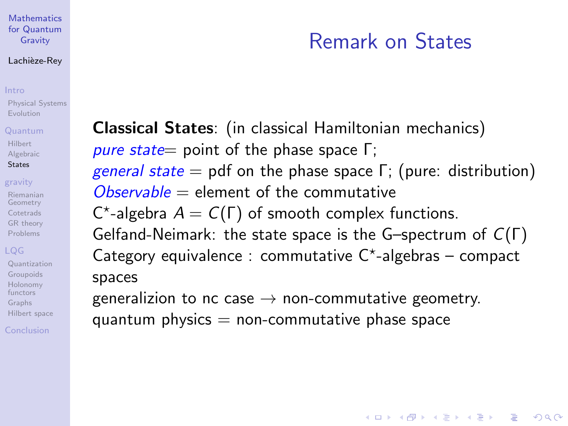#### Lachièze-Rey

[Physical Systems](#page-3-0) [Evolution](#page-5-0)

#### [Quantum](#page-7-0)

[Hilbert](#page-8-0) [Algebraic](#page-9-0) [States](#page-10-0)

#### [gravity](#page-12-0)

[Riemanian](#page-13-0) Geometry **[Cotetrads](#page-14-0)** [GR theory](#page-15-0) [Problems](#page-16-0)

[Quantization](#page-20-0) [Groupoids](#page-24-0) [Holonomy](#page-25-0) functors [Graphs](#page-26-0) [Hilbert space](#page-28-0)

<span id="page-10-0"></span>[Conclusion](#page-29-0)

# Remark on States

**KORK ERKER ADE YOUR** 

Classical States: (in classical Hamiltonian mechanics) pure state= point of the phase space  $Γ$ ; *general state* = pdf on the phase space  $Γ$ ; (pure: distribution)  $Observeable = element of the commutative$ C\*-algebra  $A = C(\Gamma)$  of smooth complex functions. Gelfand-Neimark: the state space is the G–spectrum of C(Γ) Category equivalence : commutative  $C^*$ -algebras – compact spaces generalizion to nc case  $\rightarrow$  non-commutative geometry.

quantum physics  $=$  non-commutative phase space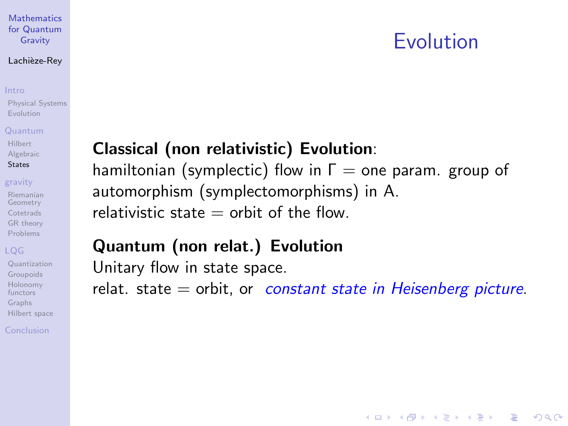# Evolution

**KORK SERVER SHOPE** 

#### **[Mathematics](#page-0-0)** for Quantum Gravity

#### Lachièze-Rey

#### [Intro](#page-2-0)

[Physical Systems](#page-3-0) [Evolution](#page-5-0)

#### [Quantum](#page-7-0)

#### [Hilbert](#page-8-0) [Algebraic](#page-9-0) **[States](#page-10-0)**

#### [gravity](#page-12-0)

[Riemanian](#page-13-0) Geometry **[Cotetrads](#page-14-0)** [GR theory](#page-15-0) [Problems](#page-16-0)

### [LQG](#page-17-0)

[Quantization](#page-20-0) [Groupoids](#page-24-0) [Holonomy](#page-25-0) functors [Graphs](#page-26-0) [Hilbert space](#page-28-0)

[Conclusion](#page-29-0)

## Classical (non relativistic) Evolution:

hamiltonian (symplectic) flow in  $\Gamma$  = one param. group of automorphism (symplectomorphisms) in A. relativistic state  $=$  orbit of the flow.

## Quantum (non relat.) Evolution

Unitary flow in state space.

relat. state  $=$  orbit, or *constant state in Heisenberg picture*.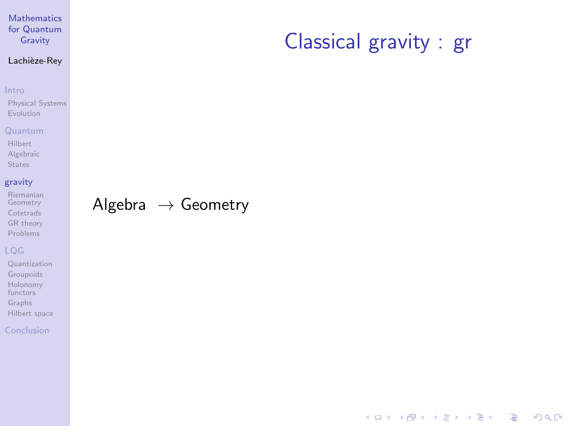### Lachièze-Rey

#### [Intro](#page-2-0)

[Physical Systems](#page-3-0) [Evolution](#page-5-0)

#### [Quantum](#page-7-0)

[Hilbert](#page-8-0) [Algebraic](#page-9-0) [States](#page-10-0)

### [gravity](#page-12-0)

[Riemanian](#page-13-0) Geometry [Cotetrads](#page-14-0) [GR theory](#page-15-0) [Problems](#page-16-0)

### [LQG](#page-17-0)

[Quantization](#page-20-0) [Groupoids](#page-24-0) [Holonomy](#page-25-0) functors [Graphs](#page-26-0) [Hilbert space](#page-28-0)

#### <span id="page-12-0"></span>[Conclusion](#page-29-0)

## Algebra  $\rightarrow$  Geometry

## Classical gravity : gr

K ロ ▶ K @ ▶ K 할 ▶ K 할 ▶ 이 할 → 9 Q Q →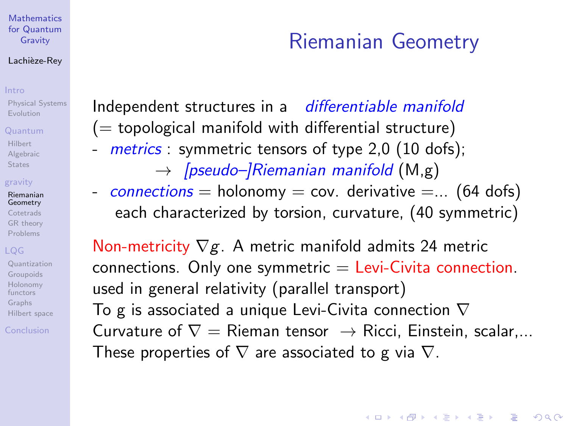#### Lachièze-Rey

[Physical Systems](#page-3-0) [Evolution](#page-5-0)

#### [Quantum](#page-7-0)

[Hilbert](#page-8-0) [Algebraic](#page-9-0) **[States](#page-10-0)** 

#### [gravity](#page-12-0)

[Riemanian](#page-13-0) Geometry **[Cotetrads](#page-14-0)** [GR theory](#page-15-0) [Problems](#page-16-0)

[Quantization](#page-20-0) [Groupoids](#page-24-0) [Holonomy](#page-25-0) functors [Graphs](#page-26-0) [Hilbert space](#page-28-0)

<span id="page-13-0"></span>[Conclusion](#page-29-0)

# Riemanian Geometry

Independent structures in a differentiable manifold  $($  = topological manifold with differential structure) - metrics: symmetric tensors of type 2.0 (10 dofs);

- $\rightarrow$  [pseudo–]Riemanian manifold (M,g)
- connections = holonomy = cov. derivative =... (64 dofs) each characterized by torsion, curvature, (40 symmetric)

Non-metricity  $\nabla g$ . A metric manifold admits 24 metric  $connections.$  Only one symmetric  $=$  Levi-Civita connection. used in general relativity (parallel transport) To g is associated a unique Levi-Civita connection  $\nabla$ Curvature of  $\nabla =$  Rieman tensor  $\rightarrow$  Ricci, Einstein, scalar,... These properties of  $\nabla$  are associated to g via  $\nabla$ .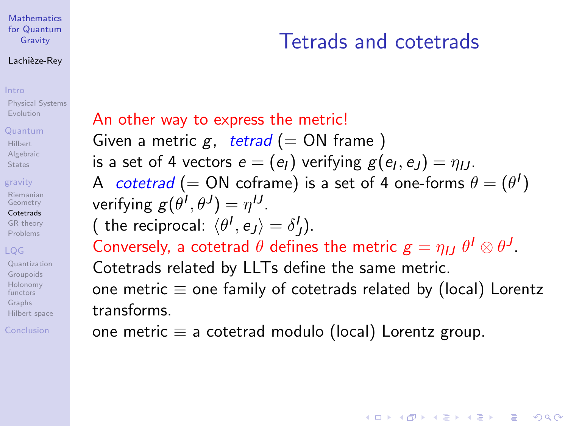#### Lachièze-Rey

#### [Intro](#page-2-0)

[Physical Systems](#page-3-0) [Evolution](#page-5-0)

#### [Quantum](#page-7-0)

[Hilbert](#page-8-0) [Algebraic](#page-9-0) **[States](#page-10-0)** 

### [gravity](#page-12-0)

[Riemanian](#page-13-0) Geometry [Cotetrads](#page-14-0) [GR theory](#page-15-0) [Problems](#page-16-0)

### [LQG](#page-17-0)

[Quantization](#page-20-0) [Groupoids](#page-24-0) [Holonomy](#page-25-0) functors [Graphs](#page-26-0) [Hilbert space](#page-28-0)

<span id="page-14-0"></span>[Conclusion](#page-29-0)

# Tetrads and cotetrads

**KORK ERKER ER AGA** 

An other way to express the metric! Given a metric g, tetrad (= ON frame) is a set of 4 vectors  $e=(e_I)$  verifying  $g(e_I,e_J)=\eta_{IJ}.$ A cotetrad (= ON coframe) is a set of 4 one-forms  $\theta = (\theta^I)$ verifying  $g(\theta^I, \theta^J) = \eta^{IJ}.$ ( the reciprocal:  $\langle \theta^I, e_J \rangle = \delta^I_J$ ). Conversely, a cotetrad  $\theta$  defines the metric  $\boldsymbol{g}=\eta_{IJ}~\theta^I\otimes\theta^J.$ Cotetrads related by LLTs define the same metric. one metric  $\equiv$  one family of cotetrads related by (local) Lorentz transforms.

one metric  $\equiv$  a cotetrad modulo (local) Lorentz group.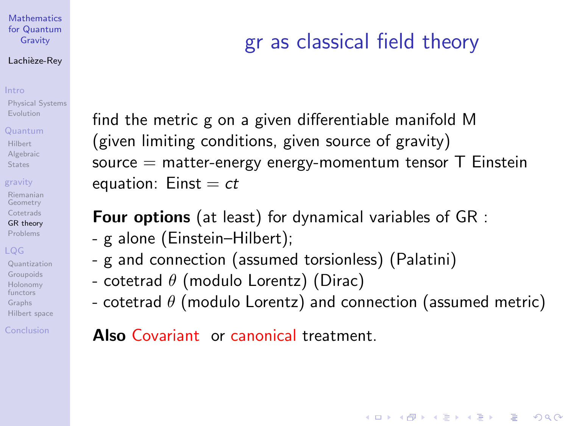#### Lachièze-Rey

#### [Intro](#page-2-0)

[Physical Systems](#page-3-0) [Evolution](#page-5-0)

#### [Quantum](#page-7-0)

[Hilbert](#page-8-0) [Algebraic](#page-9-0) **[States](#page-10-0)** 

### [gravity](#page-12-0)

[Riemanian](#page-13-0) Geometry **[Cotetrads](#page-14-0)** [GR theory](#page-15-0) [Problems](#page-16-0)

[Quantization](#page-20-0) [Groupoids](#page-24-0) [Holonomy](#page-25-0) functors [Graphs](#page-26-0) [Hilbert space](#page-28-0)

<span id="page-15-0"></span>[Conclusion](#page-29-0)

# gr as classical field theory

find the metric g on a given differentiable manifold M (given limiting conditions, given source of gravity) source  $=$  matter-energy energy-momentum tensor  $T$  Einstein equation:  $Einst = ct$ 

Four options (at least) for dynamical variables of GR :

- g alone (Einstein–Hilbert);
- g and connection (assumed torsionless) (Palatini)
- cotetrad  $\theta$  (modulo Lorentz) (Dirac)
- cotetrad  $\theta$  (modulo Lorentz) and connection (assumed metric)

**KORK ERKER ADE YOUR** 

Also Covariant or canonical treatment.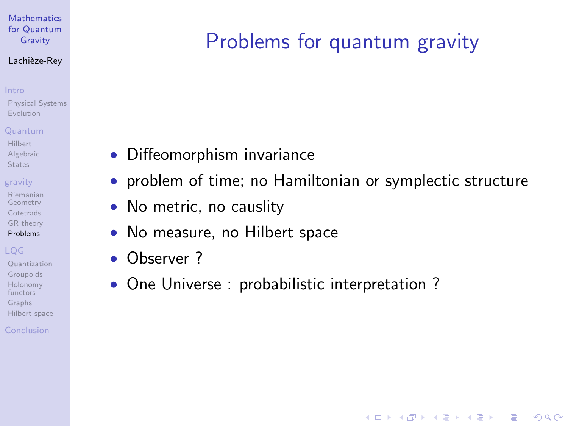#### Lachièze-Rey

#### [Intro](#page-2-0)

[Physical Systems](#page-3-0) [Evolution](#page-5-0)

#### [Quantum](#page-7-0)

[Hilbert](#page-8-0) [Algebraic](#page-9-0) **[States](#page-10-0)** 

### [gravity](#page-12-0)

[Riemanian](#page-13-0) Geometry **[Cotetrads](#page-14-0)** [GR theory](#page-15-0) [Problems](#page-16-0)

[Quantization](#page-20-0) [Groupoids](#page-24-0) [Holonomy](#page-25-0) functors [Graphs](#page-26-0) [Hilbert space](#page-28-0)

#### <span id="page-16-0"></span>[Conclusion](#page-29-0)

# Problems for quantum gravity

- Diffeomorphism invariance
- problem of time; no Hamiltonian or symplectic structure

**KORK ERRY ABY CHANNEL** 

- No metric, no causlity
- No measure, no Hilbert space
- Observer ?
- One Universe : probabilistic interpretation ?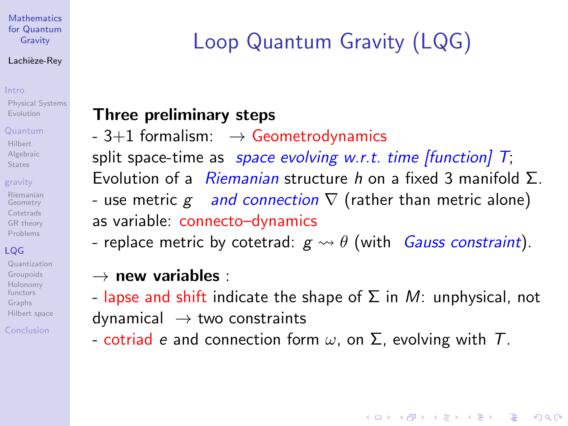#### Lachièze-Rey

#### [Intro](#page-2-0)

[Physical Systems](#page-3-0) [Evolution](#page-5-0)

#### [Quantum](#page-7-0)

[Hilbert](#page-8-0) [Algebraic](#page-9-0) **[States](#page-10-0)** 

### [gravity](#page-12-0)

[Riemanian](#page-13-0) Geometry **[Cotetrads](#page-14-0)** [GR theory](#page-15-0) [Problems](#page-16-0)

## [LQG](#page-17-0)

[Quantization](#page-20-0) [Groupoids](#page-24-0) [Holonomy](#page-25-0) functors [Graphs](#page-26-0) [Hilbert space](#page-28-0)

<span id="page-17-0"></span>[Conclusion](#page-29-0)

# Loop Quantum Gravity (LQG)

## Three preliminary steps

 $-3+1$  formalism:  $\rightarrow$  Geometrodynamics split space-time as *space evolving w.r.t. time [function]*  $T$ ; Evolution of a *Riemanian* structure h on a fixed 3 manifold  $\Sigma$ . - use metric  $g$  and connection  $\nabla$  (rather than metric alone) as variable: connecto–dynamics

- replace metric by cotetrad:  $g \leadsto \theta$  (with *Gauss constraint*).

## $\rightarrow$  new variables :

- lapse and shift indicate the shape of  $\Sigma$  in M: unphysical, not  $dynamical \rightarrow two constraints$ 

**KORK ERKER ADE YOUR** 

- cotriad e and connection form  $\omega$ , on  $\Sigma$ , evolving with T.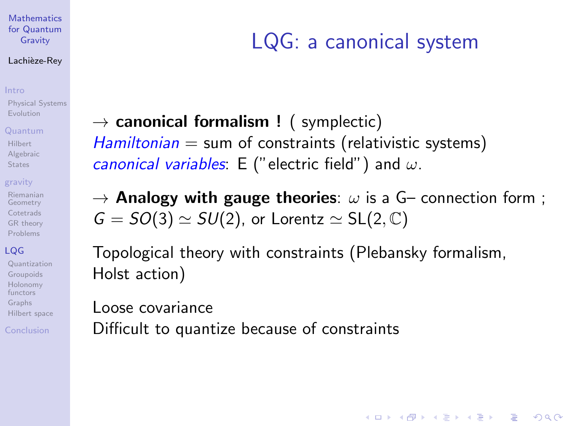#### Lachièze-Rey

#### [Intro](#page-2-0)

[Physical Systems](#page-3-0) [Evolution](#page-5-0)

#### [Quantum](#page-7-0)

[Hilbert](#page-8-0) [Algebraic](#page-9-0) **[States](#page-10-0)** 

#### [gravity](#page-12-0)

[Riemanian](#page-13-0) Geometry **[Cotetrads](#page-14-0)** [GR theory](#page-15-0) [Problems](#page-16-0)

### [LQG](#page-17-0)

[Quantization](#page-20-0) [Groupoids](#page-24-0) [Holonomy](#page-25-0) functors [Graphs](#page-26-0) [Hilbert space](#page-28-0)

[Conclusion](#page-29-0)

# LQG: a canonical system

**KORK ERKER ADE YOUR** 

 $\rightarrow$  canonical formalism ! (symplectic)  $Hamiltonian = sum of constraints (relativistic systems)$ canonical variables: E ("electric field") and  $\omega$ .

 $\rightarrow$  Analogy with gauge theories:  $\omega$  is a G– connection form;  $G = SO(3) \simeq SU(2)$ , or Lorentz  $\simeq SL(2, \mathbb{C})$ 

Topological theory with constraints (Plebansky formalism, Holst action)

Loose covariance Difficult to quantize because of constraints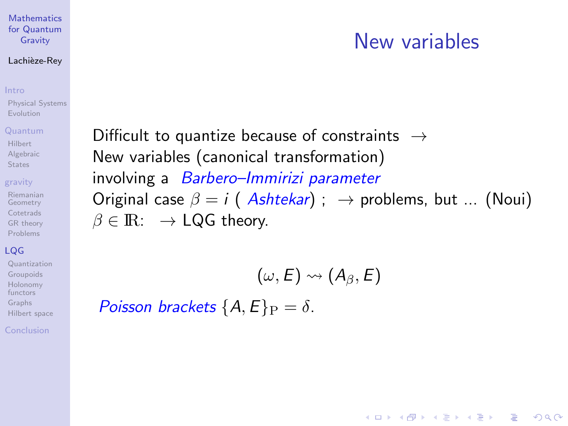#### Lachièze-Rey

#### [Intro](#page-2-0)

[Physical Systems](#page-3-0) [Evolution](#page-5-0)

#### [Quantum](#page-7-0)

[Hilbert](#page-8-0) [Algebraic](#page-9-0) **[States](#page-10-0)** 

#### [gravity](#page-12-0)

[Riemanian](#page-13-0) Geometry **[Cotetrads](#page-14-0)** [GR theory](#page-15-0) [Problems](#page-16-0)

### [LQG](#page-17-0)

[Quantization](#page-20-0) [Groupoids](#page-24-0) [Holonomy](#page-25-0) functors [Graphs](#page-26-0) [Hilbert space](#page-28-0)

[Conclusion](#page-29-0)

## Difficult to quantize because of constraints  $\rightarrow$ New variables (canonical transformation) involving a Barbero–Immirizi parameter Original case  $\beta = i$  (Ashtekar) ;  $\rightarrow$  problems, but ... (Noui)  $\beta \in \mathbb{R}$ :  $\rightarrow$  LQG theory.

New variables

**KORK ERRY ABY CHANNEL** 

$$
(\omega,E)\leadsto (A_{\beta},E)
$$

Poisson brackets  $\{A, E\}_P = \delta$ .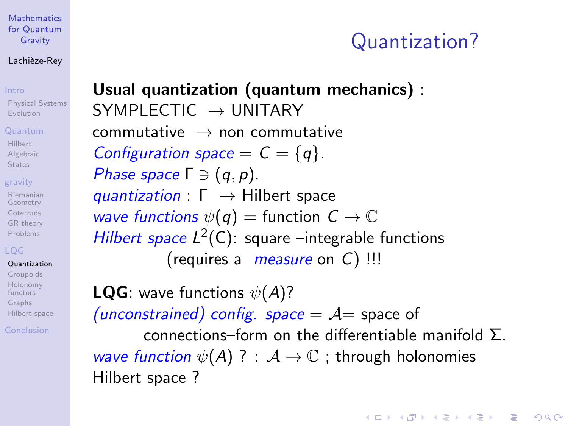#### Lachièze-Rey

[Physical Systems](#page-3-0) [Evolution](#page-5-0)

#### [Quantum](#page-7-0)

[Hilbert](#page-8-0) [Algebraic](#page-9-0) **[States](#page-10-0)** 

#### [gravity](#page-12-0)

[Riemanian](#page-13-0) Geometry **[Cotetrads](#page-14-0)** [GR theory](#page-15-0) [Problems](#page-16-0)

## [LQG](#page-17-0)

[Quantization](#page-20-0) [Groupoids](#page-24-0) [Holonomy](#page-25-0) functors [Graphs](#page-26-0) [Hilbert space](#page-28-0)

<span id="page-20-0"></span>[Conclusion](#page-29-0)

## Usual quantization (quantum mechanics) : SYMPLECTIC  $\rightarrow$  UNITARY  $commutative \rightarrow noncommutative$ Configuration space  $= C = \{q\}.$ Phase space  $\Gamma \ni (q, p)$ . quantization :  $\Gamma \rightarrow$  Hilbert space

wave functions  $\psi(q) =$  function  $C \to \mathbb{C}$ Hilbert space  $L^2(C)$ : square -integrable functions (requires a *measure* on  $C$ ) !!!

**LQG**: wave functions  $\psi(A)$ ? (unconstrained) config. space  $= A$  space of connections–form on the differentiable manifold  $\Sigma$ . wave function  $\psi(A)$  ? :  $A \to \mathbb{C}$ ; through holonomies Hilbert space ?

Quantization?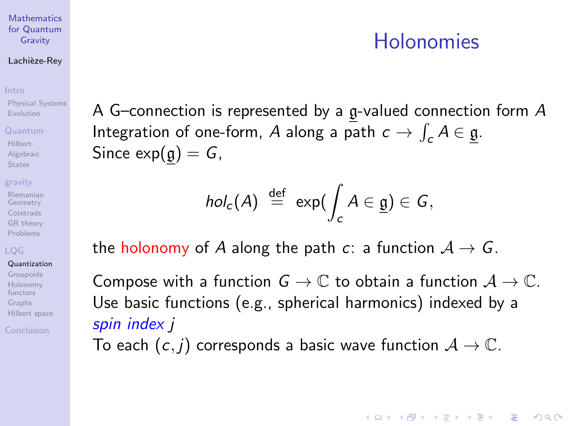#### Lachièze-Rey

#### [Intro](#page-2-0)

[Physical Systems](#page-3-0) [Evolution](#page-5-0)

#### [Quantum](#page-7-0)

[Hilbert](#page-8-0) [Algebraic](#page-9-0) **[States](#page-10-0)** 

#### [gravity](#page-12-0)

[Riemanian](#page-13-0) Geometry **[Cotetrads](#page-14-0)** [GR theory](#page-15-0) [Problems](#page-16-0)

## [LQG](#page-17-0)

[Quantization](#page-20-0) [Groupoids](#page-24-0) [Holonomy](#page-25-0) functors [Graphs](#page-26-0) [Hilbert space](#page-28-0)

[Conclusion](#page-29-0)

## Holonomies

**KORK ERKER ADE YOUR** 

A G–connection is represented by a g-valued connection form A Integration of one-form, A along a path  $c \to \int_c A \in \underline{\mathfrak{g}}$ . Since  $exp(g) = G$ ,

$$
hol_c(A) \stackrel{\text{def}}{=} \exp(\int_c A \in \underline{\mathfrak{g}}) \in G,
$$

the holonomy of A along the path c: a function  $A \rightarrow G$ .

Compose with a function  $G \to \mathbb{C}$  to obtain a function  $\mathcal{A} \to \mathbb{C}$ . Use basic functions (e.g., spherical harmonics) indexed by a spin index *i* 

To each  $(c, j)$  corresponds a basic wave function  $A \rightarrow \mathbb{C}$ .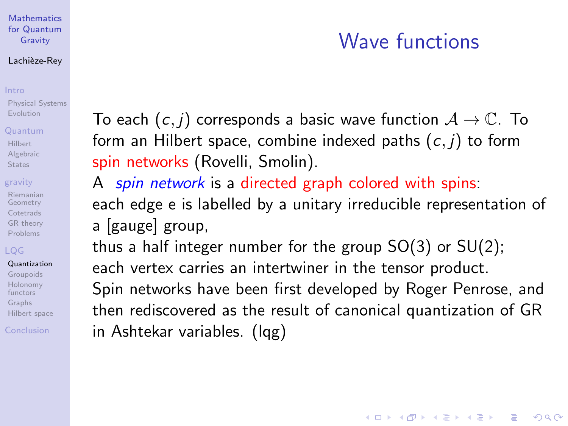#### Lachièze-Rey

[Physical Systems](#page-3-0) [Evolution](#page-5-0)

#### [Quantum](#page-7-0)

[Hilbert](#page-8-0) [Algebraic](#page-9-0) **[States](#page-10-0)** 

#### [gravity](#page-12-0)

[Riemanian](#page-13-0) Geometry **[Cotetrads](#page-14-0)** [GR theory](#page-15-0) [Problems](#page-16-0)

[Quantization](#page-20-0) [Groupoids](#page-24-0) [Holonomy](#page-25-0) functors [Graphs](#page-26-0) [Hilbert space](#page-28-0)

[Conclusion](#page-29-0)

# Wave functions

**KORK ERKER ADE YOUR** 

To each  $(c, j)$  corresponds a basic wave function  $A \rightarrow \mathbb{C}$ . To form an Hilbert space, combine indexed paths  $(c, i)$  to form spin networks (Rovelli, Smolin).

A spin network is a directed graph colored with spins: each edge e is labelled by a unitary irreducible representation of a [gauge] group,

thus a half integer number for the group  $SO(3)$  or  $SU(2)$ ; each vertex carries an intertwiner in the tensor product. Spin networks have been first developed by Roger Penrose, and then rediscovered as the result of canonical quantization of GR in Ashtekar variables. (lqg)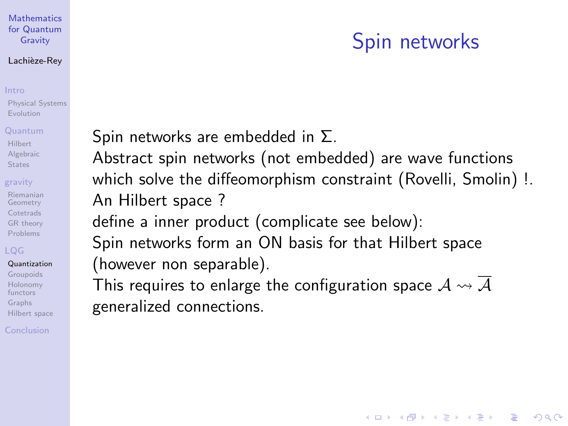#### Lachièze-Rey

[Physical Systems](#page-3-0) [Evolution](#page-5-0)

#### [Quantum](#page-7-0)

[Hilbert](#page-8-0) [Algebraic](#page-9-0) **[States](#page-10-0)** 

#### [gravity](#page-12-0)

[Riemanian](#page-13-0) Geometry **[Cotetrads](#page-14-0)** [GR theory](#page-15-0) [Problems](#page-16-0)

### [LQG](#page-17-0)

[Quantization](#page-20-0) [Groupoids](#page-24-0) [Holonomy](#page-25-0) functors [Graphs](#page-26-0) [Hilbert space](#page-28-0)

[Conclusion](#page-29-0)

# Spin networks

**KORK ERKER ADE YOUR** 

Spin networks are embedded in Σ.

Abstract spin networks (not embedded) are wave functions which solve the diffeomorphism constraint (Rovelli, Smolin) !. An Hilbert space ?

define a inner product (complicate see below):

Spin networks form an ON basis for that Hilbert space (however non separable).

This requires to enlarge the configuration space  $\mathcal{A} \leadsto \mathcal{A}$ generalized connections.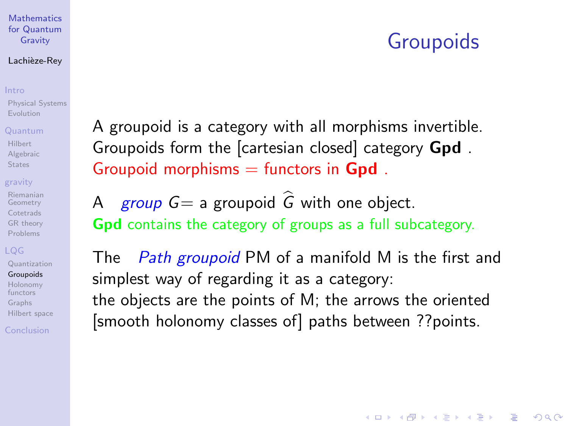## Groupoids

**KORK ERKER ADE YOUR** 

#### **[Mathematics](#page-0-0)** for Quantum Gravity

#### Lachièze-Rey

[Physical Systems](#page-3-0) [Evolution](#page-5-0)

### [Quantum](#page-7-0)

[Hilbert](#page-8-0) [Algebraic](#page-9-0) **[States](#page-10-0)** 

### [gravity](#page-12-0)

[Riemanian](#page-13-0) Geometry **[Cotetrads](#page-14-0)** [GR theory](#page-15-0) [Problems](#page-16-0)

[Quantization](#page-20-0) [Groupoids](#page-24-0) [Holonomy](#page-25-0)

functors [Graphs](#page-26-0) [Hilbert space](#page-28-0)

<span id="page-24-0"></span>[Conclusion](#page-29-0)

A groupoid is a category with all morphisms invertible. Groupoids form the [cartesian closed] category Gpd . Groupoid morphisms  $=$  functors in Gpd.

A group  $G=$  a groupoid  $\hat{G}$  with one object. Gpd contains the category of groups as a full subcategory.

The Path groupoid PM of a manifold M is the first and simplest way of regarding it as a category: the objects are the points of M; the arrows the oriented [smooth holonomy classes of] paths between ??points.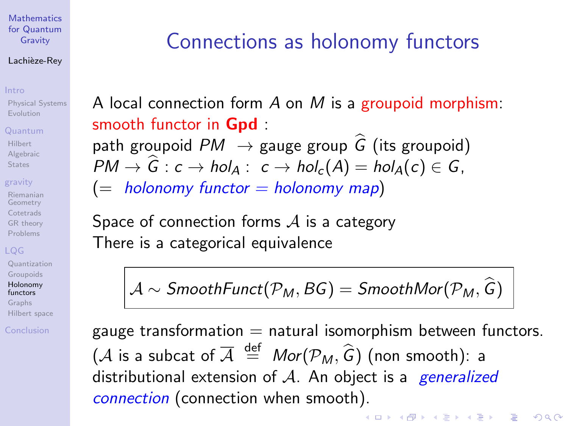#### Lachièze-Rey

[Physical Systems](#page-3-0) [Evolution](#page-5-0)

#### [Quantum](#page-7-0)

[Hilbert](#page-8-0) [Algebraic](#page-9-0) **[States](#page-10-0)** 

### [gravity](#page-12-0)

[Riemanian](#page-13-0) Geometry **[Cotetrads](#page-14-0)** [GR theory](#page-15-0) [Problems](#page-16-0)

[Quantization](#page-20-0) [Groupoids](#page-24-0)

#### [Holonomy](#page-25-0) functors

[Graphs](#page-26-0) [Hilbert space](#page-28-0)

#### <span id="page-25-0"></span>[Conclusion](#page-29-0)

# Connections as holonomy functors

A local connection form  $A$  on  $M$  is a groupoid morphism: smooth functor in **Gpd** 

path groupoid  $PM \rightarrow$  gauge group  $\widehat{G}$  (its groupoid)  $PM \rightarrow \hat{G}: c \rightarrow hol_{A}: c \rightarrow hol_{c}(A) = hol_{A}(c) \in G$ ,

 $(=$  holonomy functor  $=$  holonomy map)

Space of connection forms  $\mathcal A$  is a category There is a categorical equivalence

 $\mathcal{A} \sim$  SmoothFunct( $\mathcal{P}_M$ , BG) = SmoothMor( $\mathcal{P}_M$ ,  $\widehat{G}$ )

gauge transformation  $=$  natural isomorphism between functors. (*A* is a subcat of  $\overline{A} \stackrel{\text{def}}{=} Mor(\mathcal{P}_M, \widehat{G})$  (non smooth): a distributional extension of  $A$ . An object is a *generalized* connection (connection when smooth).

 $\mathbf{A} \equiv \mathbf{A} + \mathbf{B} + \mathbf{A} + \mathbf{B} + \mathbf{A} + \mathbf{B} + \mathbf{A} + \mathbf{B} + \mathbf{A} + \mathbf{B} + \mathbf{A} + \mathbf{B} + \mathbf{A} + \mathbf{B} + \mathbf{A} + \mathbf{B} + \mathbf{A} + \mathbf{B} + \mathbf{A} + \mathbf{B} + \mathbf{A} + \mathbf{B} + \mathbf{A} + \mathbf{B} + \mathbf{A} + \mathbf{B} + \mathbf{A} + \mathbf{B} + \mathbf{A} + \mathbf{B} + \math$ 

 $\Omega$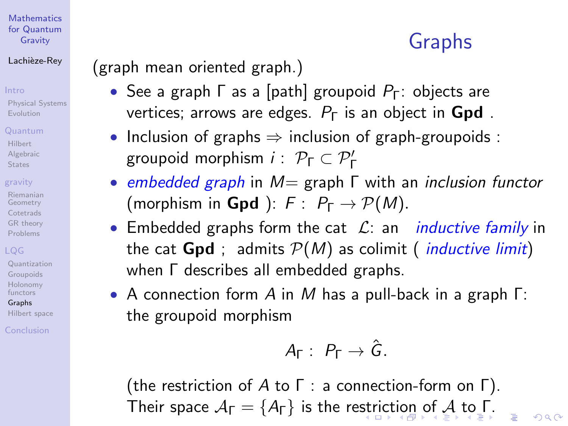### Lachièze-Rey

[Physical Systems](#page-3-0) [Evolution](#page-5-0)

#### [Quantum](#page-7-0)

[Hilbert](#page-8-0) [Algebraic](#page-9-0) **[States](#page-10-0)** 

### [gravity](#page-12-0)

[Riemanian](#page-13-0) Geometry **[Cotetrads](#page-14-0)** [GR theory](#page-15-0) [Problems](#page-16-0)

[Quantization](#page-20-0) [Groupoids](#page-24-0) [Holonomy](#page-25-0) functors

[Graphs](#page-26-0) [Hilbert space](#page-28-0)

<span id="page-26-0"></span>[Conclusion](#page-29-0)

# Graphs

 $\Omega$ 

## (graph mean oriented graph.)

- See a graph  $\Gamma$  as a [path] groupoid  $P_{\Gamma}$ : objects are vertices; arrows are edges.  $P_{\Gamma}$  is an object in **Gpd**.
- Inclusion of graphs  $\Rightarrow$  inclusion of graph-groupoids : groupoid morphism  $i$  :  $\mathcal{P}_{\Gamma} \subset \mathcal{P}'_{\Gamma}$
- embedded graph in  $M=$  graph  $\Gamma$  with an inclusion functor (morphism in **Gpd**):  $F: P_{\Gamma} \rightarrow \mathcal{P}(M)$ .
- Embedded graphs form the cat  $\mathcal{L}$ : an *inductive family* in the cat **Gpd** ; admits  $P(M)$  as colimit (*inductive limit*) when Γ describes all embedded graphs.
- A connection form A in M has a pull-back in a graph Γ: the groupoid morphism

$$
A_{\Gamma}: P_{\Gamma} \to \hat{G}.
$$

(the restriction of  $A$  to  $\Gamma$  : a connection-form on  $\Gamma$ ). Their space  $A_{\Gamma} = \{A_{\Gamma}\}\$  $A_{\Gamma} = \{A_{\Gamma}\}\$ is the re[str](#page-25-0)i[ct](#page-27-0)[io](#page-25-0)[n](#page-26-0) [o](#page-27-0)[f](#page-25-0) A [to](#page-16-0) [Γ](#page-28-0)[.](#page-29-0)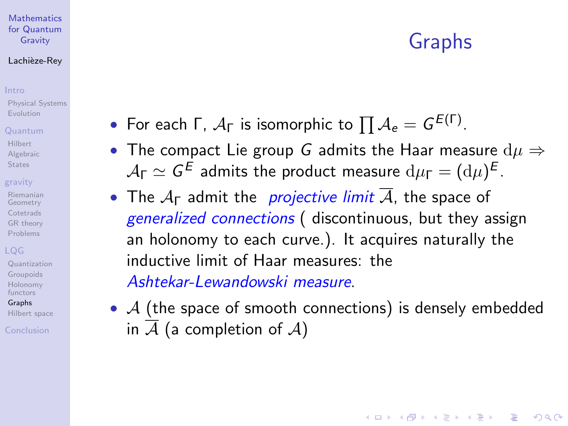## Graphs

**KORK ERKER ADE YOUR** 

#### **[Mathematics](#page-0-0)** for Quantum Gravity

### Lachièze-Rey

[Physical Systems](#page-3-0) [Evolution](#page-5-0)

#### [Quantum](#page-7-0)

[Hilbert](#page-8-0) [Algebraic](#page-9-0) **[States](#page-10-0)** 

### [gravity](#page-12-0)

[Riemanian](#page-13-0) Geometry **[Cotetrads](#page-14-0)** [GR theory](#page-15-0) [Problems](#page-16-0)

[Quantization](#page-20-0) [Groupoids](#page-24-0) [Holonomy](#page-25-0) functors

[Graphs](#page-26-0) [Hilbert space](#page-28-0)

<span id="page-27-0"></span>[Conclusion](#page-29-0)

- For each Γ,  $A_{\Gamma}$  is isomorphic to  $\prod A_{e}=G^{E(\Gamma)}.$
- The compact Lie group G admits the Haar measure  $d\mu \Rightarrow$  $\mathcal{A}_{\mathsf{\Gamma}} \simeq \mathsf{G}^\mathsf{E}$  admits the product measure  $\mathrm{d}\mu_{\mathsf{\Gamma}} = (\mathrm{d}\mu)^{\mathsf{E}}$  .
- The  $A_{\Gamma}$  admit the *projective limit*  $\overline{A}$ , the space of generalized connections (discontinuous, but they assign an holonomy to each curve.). It acquires naturally the inductive limit of Haar measures: the Ashtekar-Lewandowski measure.
- $\mathcal A$  (the space of smooth connections) is densely embedded in  $\overline{A}$  (a completion of A)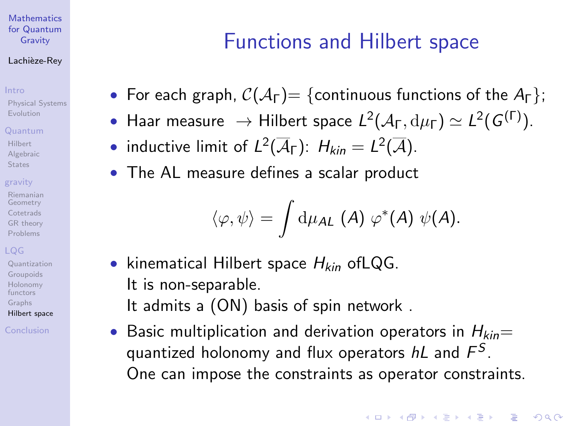#### Lachièze-Rey

[Physical Systems](#page-3-0) [Evolution](#page-5-0)

#### [Quantum](#page-7-0)

[Hilbert](#page-8-0) [Algebraic](#page-9-0) **[States](#page-10-0)** 

#### [gravity](#page-12-0)

[Riemanian](#page-13-0) Geometry **[Cotetrads](#page-14-0)** [GR theory](#page-15-0) [Problems](#page-16-0)

[Quantization](#page-20-0) [Groupoids](#page-24-0) [Holonomy](#page-25-0) functors [Graphs](#page-26-0) [Hilbert space](#page-28-0)

<span id="page-28-0"></span>[Conclusion](#page-29-0)

# Functions and Hilbert space

• For each graph,  $C(A_{\Gamma}) = \{$  continuous functions of the  $A_{\Gamma} \}$ ;

- Haar measure  $\rightarrow$  Hilbert space  $L^2(\mathcal{A}_\Gamma,\mathrm{d}\mu_\Gamma)\simeq L^2(\mathcal{G}^{(\Gamma)}).$
- inductive limit of  $L^2(\overline{A}_{\Gamma})$ :  $H_{kin} = L^2(\overline{A})$ .
- The AL measure defines a scalar product

$$
\langle \varphi, \psi \rangle = \int \mathrm{d} \mu_\mathcal{AL} \ (A) \ \varphi^*(A) \ \psi(A).
$$

- kinematical Hilbert space  $H_{kin}$  of LQG. It is non-separable. It admits a (ON) basis of spin network .
- Basic multiplication and derivation operators in  $H_{kin}=$ quantized holonomy and flux operators  $h\mathsf{L}$  and  $\mathsf{F}^\mathcal{S}.$ One can impose the constraints as operator constraints.